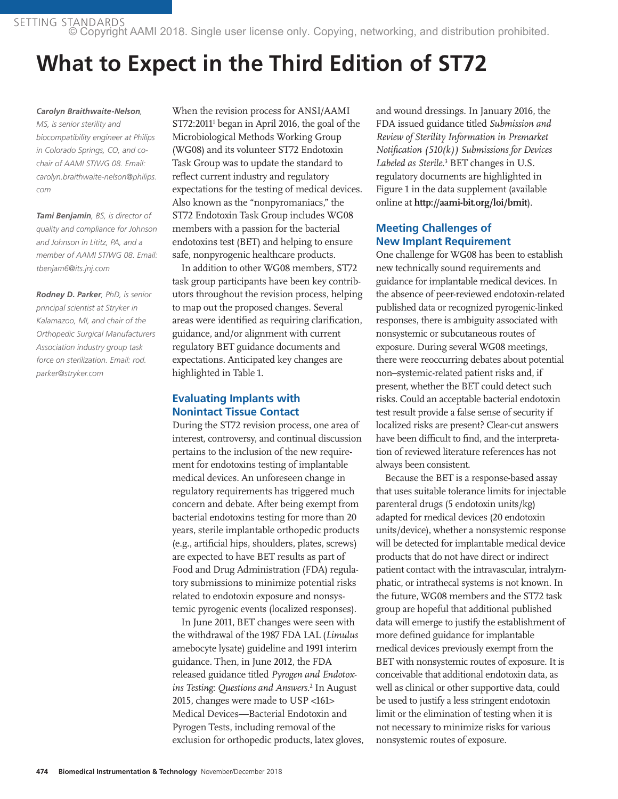SETTING STANDARDS © Copyright AAMI 2018. Single user license only. Copying, networking, and distribution prohibited.

# **What to Expect in the Third Edition of ST72**

#### *Carolyn Braithwaite-Nelson,*

*MS, is senior sterility and biocompatibility engineer at Philips in Colorado Springs, CO, and cochair of AAMI ST/WG 08. Email: carolyn.braithwaite-nelson@philips. com*

*Tami Benjamin, BS, is director of quality and compliance for Johnson and Johnson in Lititz, PA, and a member of AAMI ST/WG 08. Email: tbenjam6@its.jnj.com*

*Rodney D. Parker, PhD, is senior principal scientist at Stryker in Kalamazoo, MI, and chair of the Orthopedic Surgical Manufacturers Association industry group task force on sterilization. Email: rod. parker@stryker.com*

When the revision process for ANSI/AAMI ST72:20111 began in April 2016, the goal of the Microbiological Methods Working Group (WG08) and its volunteer ST72 Endotoxin Task Group was to update the standard to reflect current industry and regulatory expectations for the testing of medical devices. Also known as the "nonpyromaniacs," the ST72 Endotoxin Task Group includes WG08 members with a passion for the bacterial endotoxins test (BET) and helping to ensure safe, nonpyrogenic healthcare products.

In addition to other WG08 members, ST72 task group participants have been key contributors throughout the revision process, helping to map out the proposed changes. Several areas were identified as requiring clarification, guidance, and/or alignment with current regulatory BET guidance documents and expectations. Anticipated key changes are highlighted in Table 1.

## **Evaluating Implants with Nonintact Tissue Contact**

During the ST72 revision process, one area of interest, controversy, and continual discussion pertains to the inclusion of the new requirement for endotoxins testing of implantable medical devices. An unforeseen change in regulatory requirements has triggered much concern and debate. After being exempt from bacterial endotoxins testing for more than 20 years, sterile implantable orthopedic products (e.g., artificial hips, shoulders, plates, screws) are expected to have BET results as part of Food and Drug Administration (FDA) regulatory submissions to minimize potential risks related to endotoxin exposure and nonsystemic pyrogenic events (localized responses).

In June 2011, BET changes were seen with the withdrawal of the 1987 FDA LAL (*Limulus* amebocyte lysate) guideline and 1991 interim guidance. Then, in June 2012, the FDA released guidance titled *Pyrogen and Endotoxins Testing: Questions and Answers*. 2 In August 2015, changes were made to USP <161> Medical Devices—Bacterial Endotoxin and Pyrogen Tests, including removal of the exclusion for orthopedic products, latex gloves, and wound dressings. In January 2016, the FDA issued guidance titled *Submission and Review of Sterility Information in Premarket Notification (510(k)) Submissions for Devices*  Labeled as Sterile.<sup>3</sup> BET changes in U.S. regulatory documents are highlighted in Figure 1 in the data supplement (available online at **http://aami-bit.org/loi/bmit**).

## **Meeting Challenges of New Implant Requirement**

One challenge for WG08 has been to establish new technically sound requirements and guidance for implantable medical devices. In the absence of peer-reviewed endotoxin-related published data or recognized pyrogenic-linked responses, there is ambiguity associated with nonsystemic or subcutaneous routes of exposure. During several WG08 meetings, there were reoccurring debates about potential non–systemic-related patient risks and, if present, whether the BET could detect such risks. Could an acceptable bacterial endotoxin test result provide a false sense of security if localized risks are present? Clear-cut answers have been difficult to find, and the interpretation of reviewed literature references has not always been consistent.

Because the BET is a response-based assay that uses suitable tolerance limits for injectable parenteral drugs (5 endotoxin units/kg) adapted for medical devices (20 endotoxin units/device), whether a nonsystemic response will be detected for implantable medical device products that do not have direct or indirect patient contact with the intravascular, intralymphatic, or intrathecal systems is not known. In the future, WG08 members and the ST72 task group are hopeful that additional published data will emerge to justify the establishment of more defined guidance for implantable medical devices previously exempt from the BET with nonsystemic routes of exposure. It is conceivable that additional endotoxin data, as well as clinical or other supportive data, could be used to justify a less stringent endotoxin limit or the elimination of testing when it is not necessary to minimize risks for various nonsystemic routes of exposure.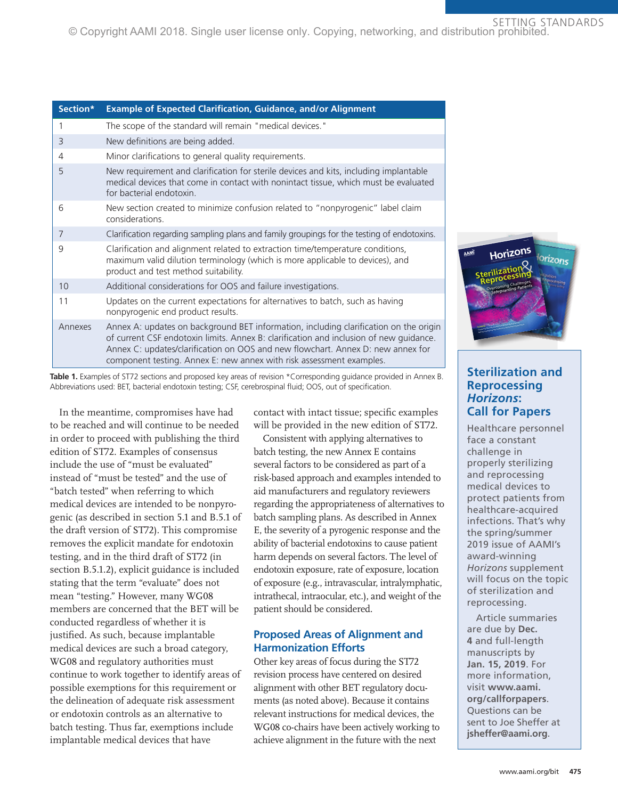#### SETTING STANDARDS © Copyright AAMI 2018. Single user license only. Copying, networking, and distribution prohibited.

| Section* | <b>Example of Expected Clarification, Guidance, and/or Alignment</b>                                                                                                                                                                                                                                                                       |
|----------|--------------------------------------------------------------------------------------------------------------------------------------------------------------------------------------------------------------------------------------------------------------------------------------------------------------------------------------------|
| 1        | The scope of the standard will remain "medical devices."                                                                                                                                                                                                                                                                                   |
| 3        | New definitions are being added.                                                                                                                                                                                                                                                                                                           |
| 4        | Minor clarifications to general quality requirements.                                                                                                                                                                                                                                                                                      |
| 5        | New requirement and clarification for sterile devices and kits, including implantable<br>medical devices that come in contact with nonintact tissue, which must be evaluated<br>for bacterial endotoxin.                                                                                                                                   |
| 6        | New section created to minimize confusion related to "nonpyrogenic" label claim<br>considerations.                                                                                                                                                                                                                                         |
| 7        | Clarification regarding sampling plans and family groupings for the testing of endotoxins.                                                                                                                                                                                                                                                 |
| 9        | Clarification and alignment related to extraction time/temperature conditions,<br>maximum valid dilution terminology (which is more applicable to devices), and<br>product and test method suitability.                                                                                                                                    |
| 10       | Additional considerations for OOS and failure investigations.                                                                                                                                                                                                                                                                              |
| 11       | Updates on the current expectations for alternatives to batch, such as having<br>nonpyrogenic end product results.                                                                                                                                                                                                                         |
| Annexes  | Annex A: updates on background BET information, including clarification on the origin<br>of current CSF endotoxin limits. Annex B: clarification and inclusion of new guidance.<br>Annex C: updates/clarification on OOS and new flowchart. Annex D: new annex for<br>component testing. Annex E: new annex with risk assessment examples. |

**Table 1.** Examples of ST72 sections and proposed key areas of revision \*Corresponding guidance provided in Annex B. Abbreviations used: BET, bacterial endotoxin testing; CSF, cerebrospinal fluid; OOS, out of specification.

In the meantime, compromises have had to be reached and will continue to be needed in order to proceed with publishing the third edition of ST72. Examples of consensus include the use of "must be evaluated" instead of "must be tested" and the use of "batch tested" when referring to which medical devices are intended to be nonpyrogenic (as described in section 5.1 and B.5.1 of the draft version of ST72). This compromise removes the explicit mandate for endotoxin testing, and in the third draft of ST72 (in section B.5.1.2), explicit guidance is included stating that the term "evaluate" does not mean "testing." However, many WG08 members are concerned that the BET will be conducted regardless of whether it is justified. As such, because implantable medical devices are such a broad category, WG08 and regulatory authorities must continue to work together to identify areas of possible exemptions for this requirement or the delineation of adequate risk assessment or endotoxin controls as an alternative to batch testing. Thus far, exemptions include implantable medical devices that have

contact with intact tissue; specific examples will be provided in the new edition of ST72.

Consistent with applying alternatives to batch testing, the new Annex E contains several factors to be considered as part of a risk-based approach and examples intended to aid manufacturers and regulatory reviewers regarding the appropriateness of alternatives to batch sampling plans. As described in Annex E, the severity of a pyrogenic response and the ability of bacterial endotoxins to cause patient harm depends on several factors. The level of endotoxin exposure, rate of exposure, location of exposure (e.g., intravascular, intralymphatic, intrathecal, intraocular, etc.), and weight of the patient should be considered.

## **Proposed Areas of Alignment and Harmonization Efforts**

Other key areas of focus during the ST72 revision process have centered on desired alignment with other BET regulatory documents (as noted above). Because it contains relevant instructions for medical devices, the WG08 co-chairs have been actively working to achieve alignment in the future with the next



## **Sterilization and Reprocessing** *Horizons***: Call for Papers**

Healthcare personnel face a constant challenge in properly sterilizing and reprocessing medical devices to protect patients from healthcare-acquired infections. That's why the spring/summer 2019 issue of AAMI's award-winning *Horizons* supplement will focus on the topic of sterilization and reprocessing.

Article summaries are due by **Dec. 4** and full-length manuscripts by **Jan. 15, 2019**. For more information, visit **www.aami. org/callforpapers**. Questions can be sent to Joe Sheffer at **jsheffer@aami.org**.